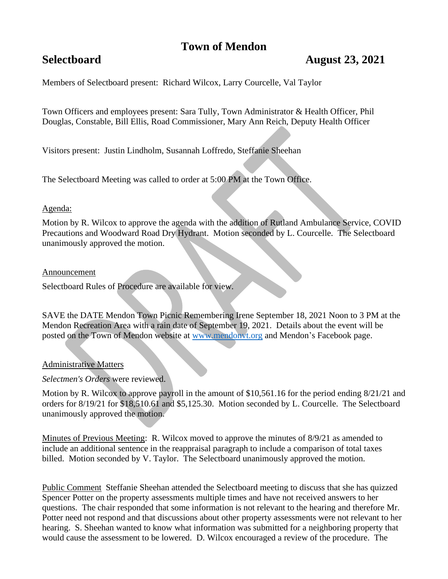# **Town of Mendon**

## **Selectboard August 23, 2021**

Members of Selectboard present: Richard Wilcox, Larry Courcelle, Val Taylor

Town Officers and employees present: Sara Tully, Town Administrator & Health Officer, Phil Douglas, Constable, Bill Ellis, Road Commissioner, Mary Ann Reich, Deputy Health Officer

Visitors present: Justin Lindholm, Susannah Loffredo, Steffanie Sheehan

The Selectboard Meeting was called to order at 5:00 PM at the Town Office.

#### Agenda:

Motion by R. Wilcox to approve the agenda with the addition of Rutland Ambulance Service, COVID Precautions and Woodward Road Dry Hydrant. Motion seconded by L. Courcelle. The Selectboard unanimously approved the motion.

#### Announcement

Selectboard Rules of Procedure are available for view.

SAVE the DATE Mendon Town Picnic Remembering Irene September 18, 2021 Noon to 3 PM at the Mendon Recreation Area with a rain date of September 19, 2021. Details about the event will be posted on the Town of Mendon website at [www.mendonvt.org](http://www.mendonvt.org/) and Mendon's Facebook page.

### Administrative Matters

*Selectmen's Orders* were reviewed.

Motion by R. Wilcox to approve payroll in the amount of \$10,561.16 for the period ending 8/21/21 and orders for 8/19/21 for \$18,510.61 and \$5,125.30. Motion seconded by L. Courcelle. The Selectboard unanimously approved the motion.

Minutes of Previous Meeting: R. Wilcox moved to approve the minutes of 8/9/21 as amended to include an additional sentence in the reappraisal paragraph to include a comparison of total taxes billed. Motion seconded by V. Taylor. The Selectboard unanimously approved the motion.

Public Comment Steffanie Sheehan attended the Selectboard meeting to discuss that she has quizzed Spencer Potter on the property assessments multiple times and have not received answers to her questions. The chair responded that some information is not relevant to the hearing and therefore Mr. Potter need not respond and that discussions about other property assessments were not relevant to her hearing. S. Sheehan wanted to know what information was submitted for a neighboring property that would cause the assessment to be lowered. D. Wilcox encouraged a review of the procedure. The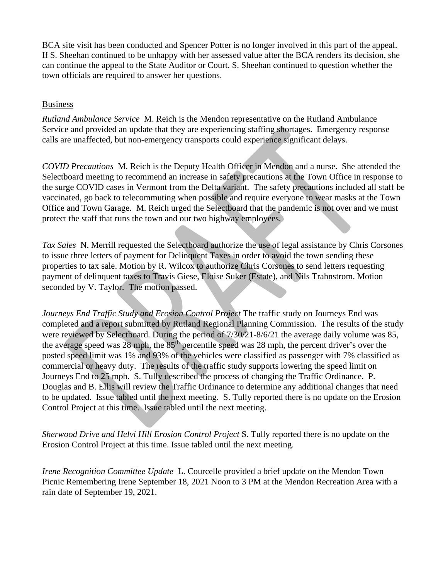BCA site visit has been conducted and Spencer Potter is no longer involved in this part of the appeal. If S. Sheehan continued to be unhappy with her assessed value after the BCA renders its decision, she can continue the appeal to the State Auditor or Court. S. Sheehan continued to question whether the town officials are required to answer her questions.

#### Business

*Rutland Ambulance Service* M. Reich is the Mendon representative on the Rutland Ambulance Service and provided an update that they are experiencing staffing shortages. Emergency response calls are unaffected, but non-emergency transports could experience significant delays.

*COVID Precautions* M. Reich is the Deputy Health Officer in Mendon and a nurse. She attended the Selectboard meeting to recommend an increase in safety precautions at the Town Office in response to the surge COVID cases in Vermont from the Delta variant. The safety precautions included all staff be vaccinated, go back to telecommuting when possible and require everyone to wear masks at the Town Office and Town Garage. M. Reich urged the Selectboard that the pandemic is not over and we must protect the staff that runs the town and our two highway employees.

*Tax Sales* N. Merrill requested the Selectboard authorize the use of legal assistance by Chris Corsones to issue three letters of payment for Delinquent Taxes in order to avoid the town sending these properties to tax sale. Motion by R. Wilcox to authorize Chris Corsones to send letters requesting payment of delinquent taxes to Travis Giese, Eloise Suker (Estate), and Nils Trahnstrom. Motion seconded by V. Taylor. The motion passed.

*Journeys End Traffic Study and Erosion Control Project* The traffic study on Journeys End was completed and a report submitted by Rutland Regional Planning Commission. The results of the study were reviewed by Selectboard*.* During the period of 7/30/21-8/6/21 the average daily volume was 85, the average speed was 28 mph, the 85<sup>th</sup> percentile speed was 28 mph, the percent driver's over the posted speed limit was 1% and 93% of the vehicles were classified as passenger with 7% classified as commercial or heavy duty. The results of the traffic study supports lowering the speed limit on Journeys End to 25 mph. S. Tully described the process of changing the Traffic Ordinance. P. Douglas and B. Ellis will review the Traffic Ordinance to determine any additional changes that need to be updated. Issue tabled until the next meeting. S. Tully reported there is no update on the Erosion Control Project at this time. Issue tabled until the next meeting.

*Sherwood Drive and Helvi Hill Erosion Control Project* S. Tully reported there is no update on the Erosion Control Project at this time. Issue tabled until the next meeting.

*Irene Recognition Committee Update* L. Courcelle provided a brief update on the Mendon Town Picnic Remembering Irene September 18, 2021 Noon to 3 PM at the Mendon Recreation Area with a rain date of September 19, 2021.